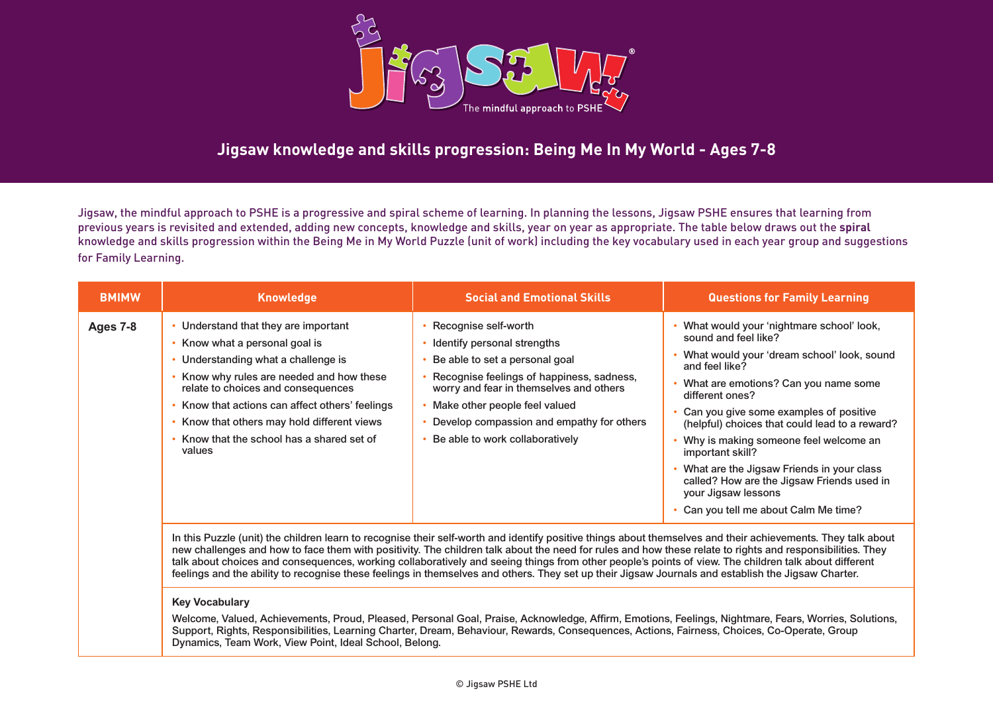

# **Jigsaw knowledge and skills progression: Being Me In My World - Ages 7-8**

Jigsaw, the mindful approach to PSHE is a progressive and spiral scheme of learning. In planning the lessons, Jigsaw PSHE ensures that learning from previous years is revisited and extended, adding new concepts, knowledge and skills, year on year as appropriate. The table below draws out the **spiral** knowledge and skills progression within the Being Me in My World Puzzle (unit of work) including the key vocabulary used in each year group and suggestions for Family Learning.

| <b>BMIMW</b> | <b>Knowledge</b>                                                                                                                                                                                                                                                                                                                             | <b>Social and Emotional Skills</b>                                                                                                                                                                                                                                                                                                                                                                                                                                                                                                                                                                                                                                                                                                                                                  | <b>Questions for Family Learning</b>                                                                                                                                                                                                                                                                                                                                                                                                                                                                          |
|--------------|----------------------------------------------------------------------------------------------------------------------------------------------------------------------------------------------------------------------------------------------------------------------------------------------------------------------------------------------|-------------------------------------------------------------------------------------------------------------------------------------------------------------------------------------------------------------------------------------------------------------------------------------------------------------------------------------------------------------------------------------------------------------------------------------------------------------------------------------------------------------------------------------------------------------------------------------------------------------------------------------------------------------------------------------------------------------------------------------------------------------------------------------|---------------------------------------------------------------------------------------------------------------------------------------------------------------------------------------------------------------------------------------------------------------------------------------------------------------------------------------------------------------------------------------------------------------------------------------------------------------------------------------------------------------|
| Ages 7-8     | Understand that they are important<br>Know what a personal goal is<br>Understanding what a challenge is<br>Know why rules are needed and how these<br>relate to choices and consequences<br>Know that actions can affect others' feelings<br>Know that others may hold different views<br>Know that the school has a shared set of<br>values | Recognise self-worth<br>Identify personal strengths<br>Be able to set a personal goal<br>Recognise feelings of happiness, sadness,<br>worry and fear in themselves and others<br>Make other people feel valued<br>Develop compassion and empathy for others<br>Be able to work collaboratively<br>In this Puzzle (unit) the children learn to recognise their self-worth and identify positive things about themselves and their achievements. They talk about<br>new challenges and how to face them with positivity. The children talk about the need for rules and how these relate to rights and responsibilities. They<br>talk about choices and consequences, working collaboratively and seeing things from other people's points of view. The children talk about different | What would your 'nightmare school' look,<br>sound and feel like?<br>What would your 'dream school' look, sound<br>and feel like?<br>What are emotions? Can you name some<br>different ones?<br>Can you give some examples of positive<br>(helpful) choices that could lead to a reward?<br>Why is making someone feel welcome an<br>important skill?<br>What are the Jigsaw Friends in your class<br>called? How are the Jigsaw Friends used in<br>your Jigsaw lessons<br>Can you tell me about Calm Me time? |

### **Key Vocabulary**

Welcome, Valued, Achievements, Proud, Pleased, Personal Goal, Praise, Acknowledge, Affirm, Emotions, Feelings, Nightmare, Fears, Worries, Solutions, Support, Rights, Responsibilities, Learning Charter, Dream, Behaviour, Rewards, Consequences, Actions, Fairness, Choices, Co-Operate, Group Dynamics, Team Work, View Point, Ideal School, Belong.

feelings and the ability to recognise these feelings in themselves and others. They set up their Jigsaw Journals and establish the Jigsaw Charter.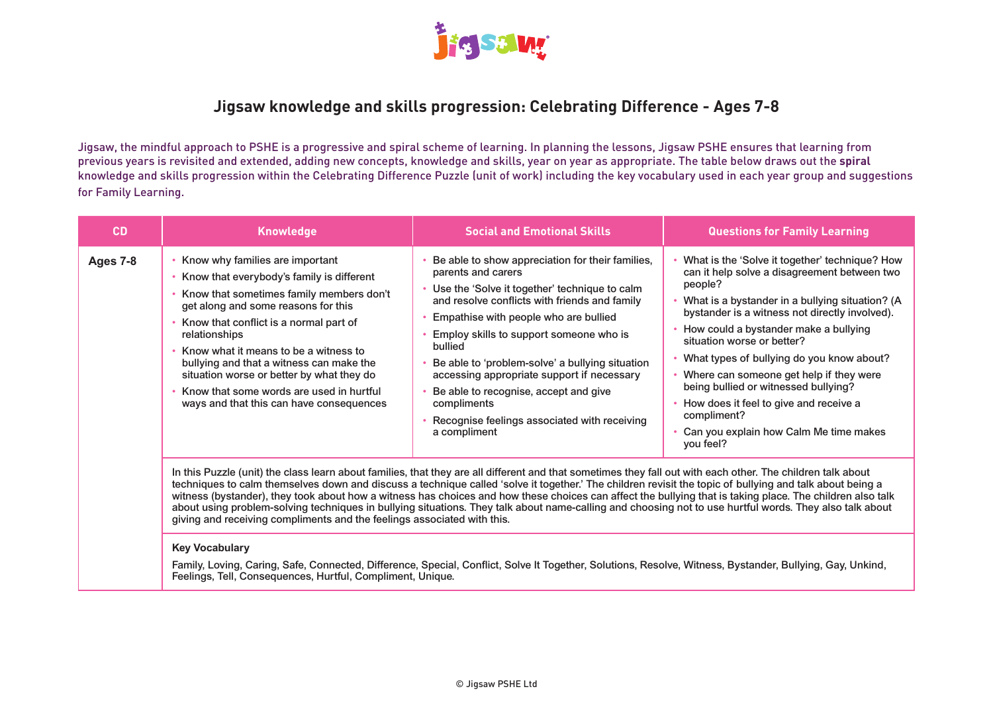

### **Jigsaw knowledge and skills progression: Celebrating Difference - Ages 7-8**

Jigsaw, the mindful approach to PSHE is a progressive and spiral scheme of learning. In planning the lessons, Jigsaw PSHE ensures that learning from previous years is revisited and extended, adding new concepts, knowledge and skills, year on year as appropriate. The table below draws out the **spiral** knowledge and skills progression within the Celebrating Difference Puzzle (unit of work) including the key vocabulary used in each year group and suggestions for Family Learning.

| <b>CD</b> | <b>Knowledge</b>                                                                                                                                                                                                                                                                                                                                                                                                                                                                                                                                                                                                                                                                                                           | <b>Social and Emotional Skills</b>                                                                                                                                                                                                                                                                                                                                                                                                                                                               | <b>Questions for Family Learning</b>                                                                                                                                                                                                                                                                                                                                                                                                                                                                                                  |
|-----------|----------------------------------------------------------------------------------------------------------------------------------------------------------------------------------------------------------------------------------------------------------------------------------------------------------------------------------------------------------------------------------------------------------------------------------------------------------------------------------------------------------------------------------------------------------------------------------------------------------------------------------------------------------------------------------------------------------------------------|--------------------------------------------------------------------------------------------------------------------------------------------------------------------------------------------------------------------------------------------------------------------------------------------------------------------------------------------------------------------------------------------------------------------------------------------------------------------------------------------------|---------------------------------------------------------------------------------------------------------------------------------------------------------------------------------------------------------------------------------------------------------------------------------------------------------------------------------------------------------------------------------------------------------------------------------------------------------------------------------------------------------------------------------------|
| Ages 7-8  | Know why families are important<br>Know that everybody's family is different<br>Know that sometimes family members don't<br>get along and some reasons for this<br>Know that conflict is a normal part of<br>relationships<br>Know what it means to be a witness to<br>bullying and that a witness can make the<br>situation worse or better by what they do<br>Know that some words are used in hurtful<br>ways and that this can have consequences                                                                                                                                                                                                                                                                       | Be able to show appreciation for their families,<br>parents and carers<br>Use the 'Solve it together' technique to calm<br>and resolve conflicts with friends and family<br>Empathise with people who are bullied<br>Employ skills to support someone who is<br>bullied<br>Be able to 'problem-solve' a bullying situation<br>accessing appropriate support if necessary<br>Be able to recognise, accept and give<br>compliments<br>Recognise feelings associated with receiving<br>a compliment | What is the 'Solve it together' technique? How<br>can it help solve a disagreement between two<br>people?<br>What is a bystander in a bullying situation? (A<br>bystander is a witness not directly involved).<br>How could a bystander make a bullying<br>situation worse or better?<br>What types of bullying do you know about?<br>Where can someone get help if they were<br>being bullied or witnessed bullying?<br>How does it feel to give and receive a<br>compliment?<br>Can you explain how Calm Me time makes<br>you feel? |
|           | In this Puzzle (unit) the class learn about families, that they are all different and that sometimes they fall out with each other. The children talk about<br>techniques to calm themselves down and discuss a technique called 'solve it together.' The children revisit the topic of bullying and talk about being a<br>witness (bystander), they took about how a witness has choices and how these choices can affect the bullying that is taking place. The children also talk<br>about using problem-solving techniques in bullying situations. They talk about name-calling and choosing not to use hurtful words. They also talk about<br>giving and receiving compliments and the feelings associated with this. |                                                                                                                                                                                                                                                                                                                                                                                                                                                                                                  |                                                                                                                                                                                                                                                                                                                                                                                                                                                                                                                                       |

#### **Key Vocabulary**

Family, Loving, Caring, Safe, Connected, Difference, Special, Conflict, Solve It Together, Solutions, Resolve, Witness, Bystander, Bullying, Gay, Unkind, Feelings, Tell, Consequences, Hurtful, Compliment, Unique.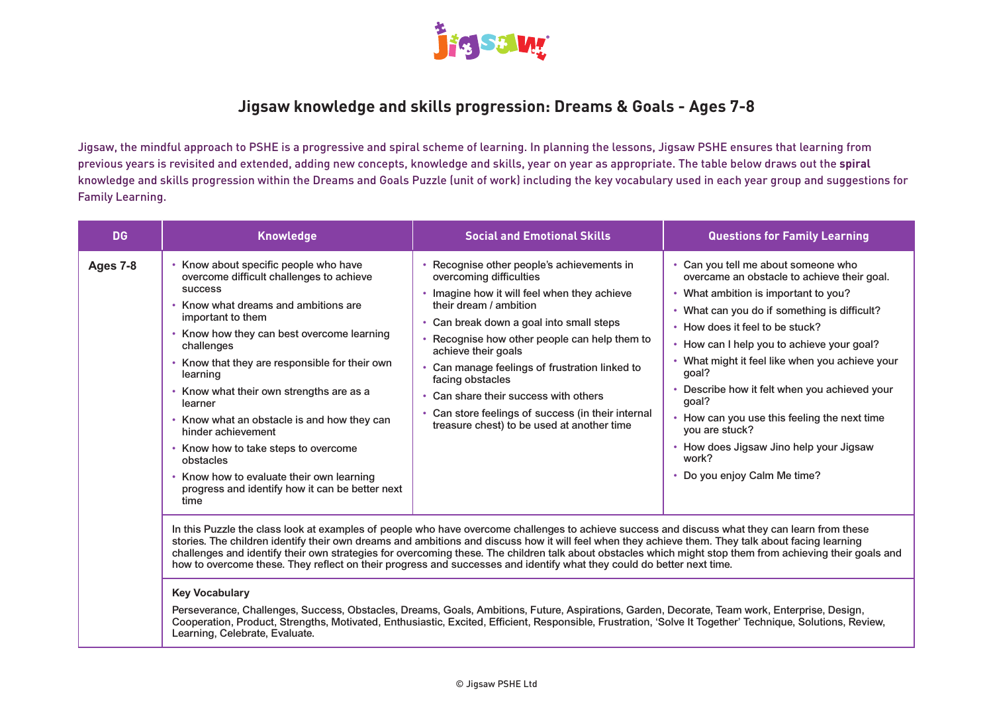

# **Jigsaw knowledge and skills progression: Dreams & Goals - Ages 7-8**

Jigsaw, the mindful approach to PSHE is a progressive and spiral scheme of learning. In planning the lessons, Jigsaw PSHE ensures that learning from previous years is revisited and extended, adding new concepts, knowledge and skills, year on year as appropriate. The table below draws out the **spiral** knowledge and skills progression within the Dreams and Goals Puzzle (unit of work) including the key vocabulary used in each year group and suggestions for Family Learning.

| <b>DG</b> | <b>Knowledge</b>                                                                                                                                                                                                                                                                                                                                                                                                                                                                                                                                                    | <b>Social and Emotional Skills</b>                                                                                                                                                                                                                                                                                                                                                                                                                                                                                                                                                                                                                                                                                                                                                                                                                                                                                                                | <b>Questions for Family Learning</b>                                                                                                                                                                                                                                                                                                                                                                                                                                                                                              |
|-----------|---------------------------------------------------------------------------------------------------------------------------------------------------------------------------------------------------------------------------------------------------------------------------------------------------------------------------------------------------------------------------------------------------------------------------------------------------------------------------------------------------------------------------------------------------------------------|---------------------------------------------------------------------------------------------------------------------------------------------------------------------------------------------------------------------------------------------------------------------------------------------------------------------------------------------------------------------------------------------------------------------------------------------------------------------------------------------------------------------------------------------------------------------------------------------------------------------------------------------------------------------------------------------------------------------------------------------------------------------------------------------------------------------------------------------------------------------------------------------------------------------------------------------------|-----------------------------------------------------------------------------------------------------------------------------------------------------------------------------------------------------------------------------------------------------------------------------------------------------------------------------------------------------------------------------------------------------------------------------------------------------------------------------------------------------------------------------------|
| Ages 7-8  | Know about specific people who have<br>overcome difficult challenges to achieve<br><b>SUCCESS</b><br>Know what dreams and ambitions are<br>important to them<br>Know how they can best overcome learning<br>challenges<br>Know that they are responsible for their own<br>learning<br>Know what their own strengths are as a<br>learner<br>Know what an obstacle is and how they can<br>hinder achievement<br>Know how to take steps to overcome<br>obstacles<br>Know how to evaluate their own learning<br>progress and identify how it can be better next<br>time | Recognise other people's achievements in<br>overcoming difficulties<br>Imagine how it will feel when they achieve<br>their dream / ambition<br>• Can break down a goal into small steps<br>Recognise how other people can help them to<br>achieve their goals<br>Can manage feelings of frustration linked to<br>facing obstacles<br>• Can share their success with others<br>Can store feelings of success (in their internal<br>treasure chest) to be used at another time<br>In this Puzzle the class look at examples of people who have overcome challenges to achieve success and discuss what they can learn from these<br>stories. The children identify their own dreams and ambitions and discuss how it will feel when they achieve them. They talk about facing learning<br>challenges and identify their own strategies for overcoming these. The children talk about obstacles which might stop them from achieving their goals and | • Can you tell me about someone who<br>overcame an obstacle to achieve their goal.<br>• What ambition is important to you?<br>• What can you do if something is difficult?<br>• How does it feel to be stuck?<br>• How can I help you to achieve your goal?<br>What might it feel like when you achieve your<br>goal?<br>• Describe how it felt when you achieved your<br>goal?<br>How can you use this feeling the next time<br>you are stuck?<br>• How does Jigsaw Jino help your Jigsaw<br>work?<br>Do you enjoy Calm Me time? |
|           |                                                                                                                                                                                                                                                                                                                                                                                                                                                                                                                                                                     | how to overcome these. They reflect on their progress and successes and identify what they could do better next time.                                                                                                                                                                                                                                                                                                                                                                                                                                                                                                                                                                                                                                                                                                                                                                                                                             |                                                                                                                                                                                                                                                                                                                                                                                                                                                                                                                                   |

### **Key Vocabulary**

Perseverance, Challenges, Success, Obstacles, Dreams, Goals, Ambitions, Future, Aspirations, Garden, Decorate, Team work, Enterprise, Design, Cooperation, Product, Strengths, Motivated, Enthusiastic, Excited, Efficient, Responsible, Frustration, 'Solve It Together' Technique, Solutions, Review, Learning, Celebrate, Evaluate.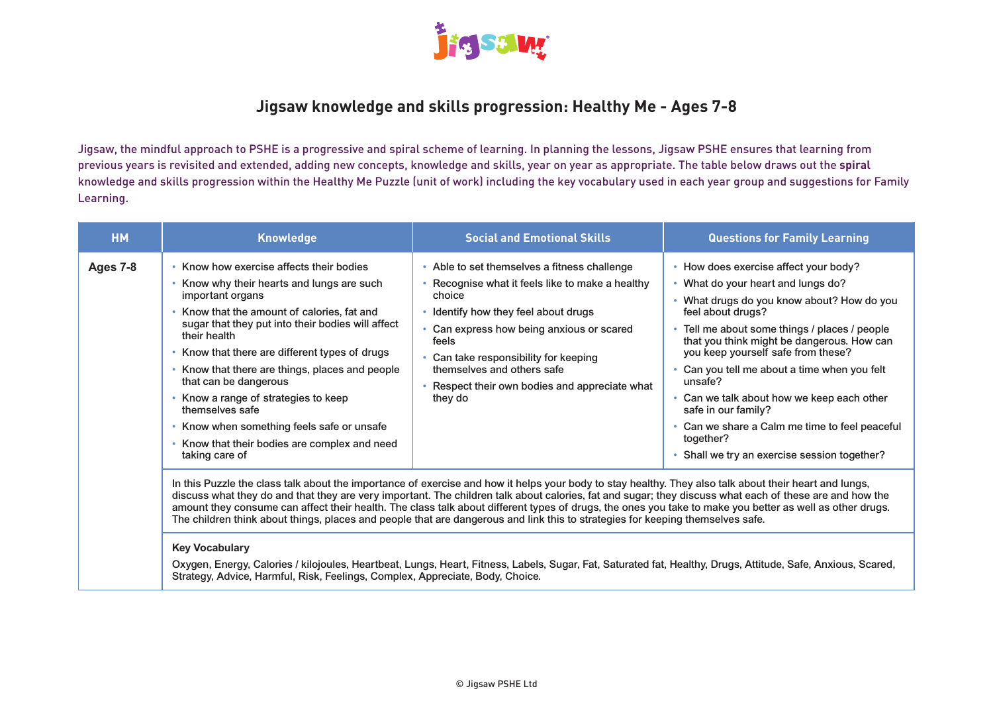

## **Jigsaw knowledge and skills progression: Healthy Me - Ages 7-8**

Jigsaw, the mindful approach to PSHE is a progressive and spiral scheme of learning. In planning the lessons, Jigsaw PSHE ensures that learning from previous years is revisited and extended, adding new concepts, knowledge and skills, year on year as appropriate. The table below draws out the **spiral** knowledge and skills progression within the Healthy Me Puzzle (unit of work) including the key vocabulary used in each year group and suggestions for Family Learning.

| <b>HM</b> | <b>Knowledge</b>                                  | <b>Social and Emotional Skills</b>                                                                                                                       | <b>Questions for Family Learning</b>         |
|-----------|---------------------------------------------------|----------------------------------------------------------------------------------------------------------------------------------------------------------|----------------------------------------------|
| Ages 7-8  | Know how exercise affects their bodies            | • Able to set themselves a fitness challenge                                                                                                             | How does exercise affect your body?          |
|           | Know why their hearts and lungs are such          | • Recognise what it feels like to make a healthy                                                                                                         | What do your heart and lungs do?             |
|           | important organs                                  | choice                                                                                                                                                   | What drugs do you know about? How do you     |
|           | Know that the amount of calories, fat and         | • Identify how they feel about drugs                                                                                                                     | feel about drugs?                            |
|           | sugar that they put into their bodies will affect | Can express how being anxious or scared                                                                                                                  | Tell me about some things / places / people  |
|           | their health                                      | feels                                                                                                                                                    | that you think might be dangerous. How can   |
|           | Know that there are different types of drugs      | Can take responsibility for keeping                                                                                                                      | you keep yourself safe from these?           |
|           | Know that there are things, places and people     | themselves and others safe                                                                                                                               | Can you tell me about a time when you felt   |
|           | that can be dangerous                             | Respect their own bodies and appreciate what                                                                                                             | unsafe?                                      |
|           | Know a range of strategies to keep                | they do                                                                                                                                                  | • Can we talk about how we keep each other   |
|           | themselves safe                                   | In this Puzzle the class talk about the importance of exercise and how it helps your body to stay healthy. They also talk about their heart and lungs,   | safe in our family?                          |
|           | Know when something feels safe or unsafe          | discuss what they do and that they are very important. The children talk about calories, fat and sugar; they discuss what each of these are and how the  | Can we share a Calm me time to feel peaceful |
|           | Know that their bodies are complex and need       | amount they consume can affect their health. The class talk about different types of drugs, the ones you take to make you better as well as other drugs. | together?                                    |
|           | taking care of                                    | The children think about things, places and people that are dangerous and link this to strategies for keeping themselves safe.                           | Shall we try an exercise session together?   |

### **Key Vocabulary**

Oxygen, Energy, Calories / kilojoules, Heartbeat, Lungs, Heart, Fitness, Labels, Sugar, Fat, Saturated fat, Healthy, Drugs, Attitude, Safe, Anxious, Scared, Strategy, Advice, Harmful, Risk, Feelings, Complex, Appreciate, Body, Choice.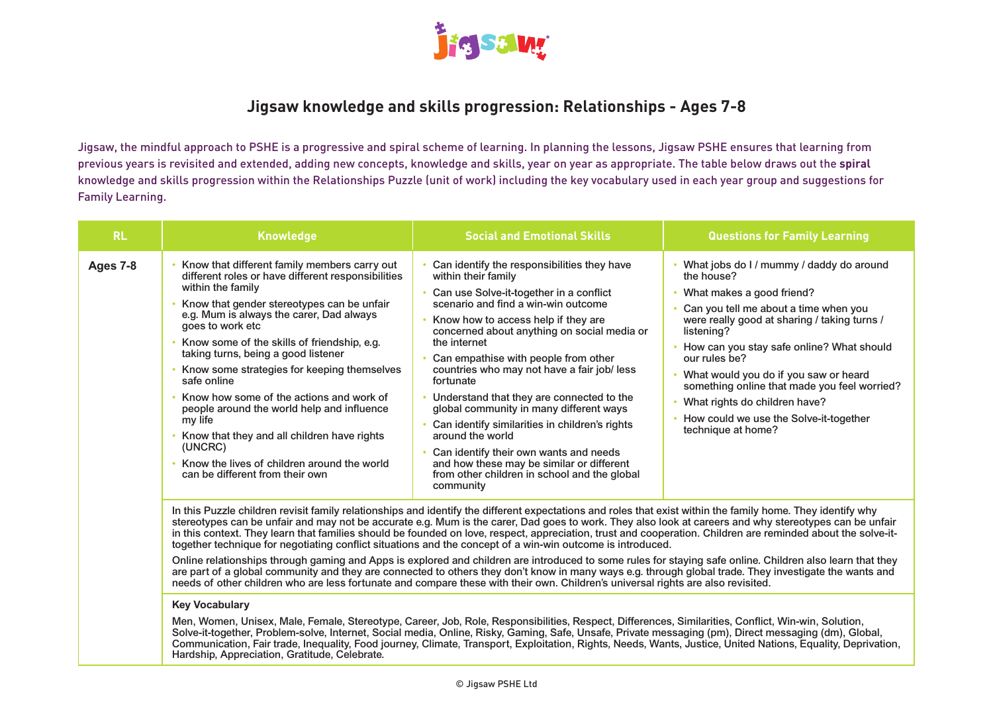

## **Jigsaw knowledge and skills progression: Relationships - Ages 7-8**

Jigsaw, the mindful approach to PSHE is a progressive and spiral scheme of learning. In planning the lessons, Jigsaw PSHE ensures that learning from previous years is revisited and extended, adding new concepts, knowledge and skills, year on year as appropriate. The table below draws out the **spiral** knowledge and skills progression within the Relationships Puzzle (unit of work) including the key vocabulary used in each year group and suggestions for Family Learning.

| <b>RL</b> | <b>Knowledge</b>                                                                                                                                                                                                                                                                                                                                                                                                                                                                                                                                                                                                                             | <b>Social and Emotional Skills</b>                                                                                                                                                                                                                                                                                                                                                                                                                                                                                                                                                                                                                                               | <b>Questions for Family Learning</b>                                                                                                                                                                                                                                                                                                                                                                                                                   |
|-----------|----------------------------------------------------------------------------------------------------------------------------------------------------------------------------------------------------------------------------------------------------------------------------------------------------------------------------------------------------------------------------------------------------------------------------------------------------------------------------------------------------------------------------------------------------------------------------------------------------------------------------------------------|----------------------------------------------------------------------------------------------------------------------------------------------------------------------------------------------------------------------------------------------------------------------------------------------------------------------------------------------------------------------------------------------------------------------------------------------------------------------------------------------------------------------------------------------------------------------------------------------------------------------------------------------------------------------------------|--------------------------------------------------------------------------------------------------------------------------------------------------------------------------------------------------------------------------------------------------------------------------------------------------------------------------------------------------------------------------------------------------------------------------------------------------------|
| Ages 7-8  | Know that different family members carry out<br>different roles or have different responsibilities<br>within the family<br>Know that gender stereotypes can be unfair<br>e.g. Mum is always the carer, Dad always<br>goes to work etc<br>Know some of the skills of friendship, e.g.<br>taking turns, being a good listener<br>Know some strategies for keeping themselves<br>safe online<br>• Know how some of the actions and work of<br>people around the world help and influence<br>my life<br>Know that they and all children have rights<br>(UNCRC)<br>Know the lives of children around the world<br>can be different from their own | Can identify the responsibilities they have<br>within their family<br>Can use Solve-it-together in a conflict<br>scenario and find a win-win outcome<br>Know how to access help if they are<br>concerned about anything on social media or<br>the internet<br>Can empathise with people from other<br>countries who may not have a fair job/ less<br>fortunate<br>Understand that they are connected to the<br>global community in many different ways<br>Can identify similarities in children's rights<br>around the world<br>Can identify their own wants and needs<br>and how these may be similar or different<br>from other children in school and the global<br>community | What jobs do I / mummy / daddy do around<br>the house?<br>What makes a good friend?<br>Can you tell me about a time when you<br>were really good at sharing / taking turns /<br>listening?<br>• How can you stay safe online? What should<br>our rules be?<br>What would you do if you saw or heard<br>something online that made you feel worried?<br>What rights do children have?<br>• How could we use the Solve-it-together<br>technique at home? |

In this Puzzle children revisit family relationships and identify the different expectations and roles that exist within the family home. They identify why stereotypes can be unfair and may not be accurate e.g. Mum is the carer, Dad goes to work. They also look at careers and why stereotypes can be unfair in this context. They learn that families should be founded on love, respect, appreciation, trust and cooperation. Children are reminded about the solve-ittogether technique for negotiating conflict situations and the concept of a win-win outcome is introduced.

Online relationships through gaming and Apps is explored and children are introduced to some rules for staying safe online. Children also learn that they are part of a global community and they are connected to others they don't know in many ways e.g. through global trade. They investigate the wants and needs of other children who are less fortunate and compare these with their own. Children's universal rights are also revisited.

### **Key Vocabulary**

Men, Women, Unisex, Male, Female, Stereotype, Career, Job, Role, Responsibilities, Respect, Differences, Similarities, Conflict, Win-win, Solution, Solve-it-together, Problem-solve, Internet, Social media, Online, Risky, Gaming, Safe, Unsafe, Private messaging (pm), Direct messaging (dm), Global, Communication, Fair trade, Inequality, Food journey, Climate, Transport, Exploitation, Rights, Needs, Wants, Justice, United Nations, Equality, Deprivation, Hardship, Appreciation, Gratitude, Celebrate.